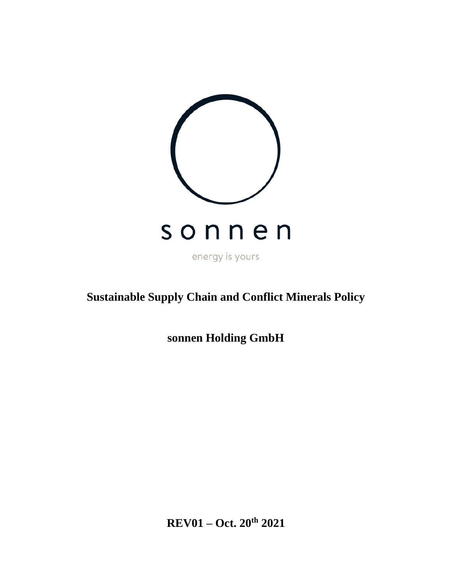

# **Sustainable Supply Chain and Conflict Minerals Policy**

**sonnen Holding GmbH**

**REV01 – Oct. 20th 2021**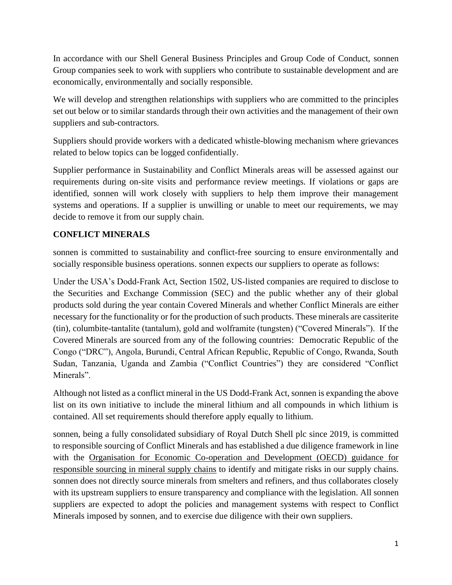In accordance with our Shell General Business Principles and Group Code of Conduct, sonnen Group companies seek to work with suppliers who contribute to sustainable development and are economically, environmentally and socially responsible.

We will develop and strengthen relationships with suppliers who are committed to the principles set out below or to similar standards through their own activities and the management of their own suppliers and sub-contractors.

Suppliers should provide workers with a dedicated whistle-blowing mechanism where grievances related to below topics can be logged confidentially.

Supplier performance in Sustainability and Conflict Minerals areas will be assessed against our requirements during on-site visits and performance review meetings. If violations or gaps are identified, sonnen will work closely with suppliers to help them improve their management systems and operations. If a supplier is unwilling or unable to meet our requirements, we may decide to remove it from our supply chain.

#### **CONFLICT MINERALS**

sonnen is committed to sustainability and conflict-free sourcing to ensure environmentally and socially responsible business operations. sonnen expects our suppliers to operate as follows:

Under the USA's Dodd-Frank Act, Section 1502, US-listed companies are required to disclose to the Securities and Exchange Commission (SEC) and the public whether any of their global products sold during the year contain Covered Minerals and whether Conflict Minerals are either necessary for the functionality or for the production of such products. These minerals are cassiterite (tin), columbite-tantalite (tantalum), gold and wolframite (tungsten) ("Covered Minerals"). If the Covered Minerals are sourced from any of the following countries: Democratic Republic of the Congo ("DRC"), Angola, Burundi, Central African Republic, Republic of Congo, Rwanda, South Sudan, Tanzania, Uganda and Zambia ("Conflict Countries") they are considered "Conflict Minerals".

Although not listed as a conflict mineral in the US Dodd-Frank Act, sonnen is expanding the above list on its own initiative to include the mineral lithium and all compounds in which lithium is contained. All set requirements should therefore apply equally to lithium.

sonnen, being a fully consolidated subsidiary of Royal Dutch Shell plc since 2019, is committed to responsible sourcing of Conflict Minerals and has established a due diligence framework in line with the [Organisation for Economic Co-operation and Development \(OECD\) guidance for](https://www.oecd.org/corporate/mne/mining.htm)  [responsible sourcing in mineral supply chains](https://www.oecd.org/corporate/mne/mining.htm) to identify and mitigate risks in our supply chains. sonnen does not directly source minerals from smelters and refiners, and thus collaborates closely with its upstream suppliers to ensure transparency and compliance with the legislation. All sonnen suppliers are expected to adopt the policies and management systems with respect to Conflict Minerals imposed by sonnen, and to exercise due diligence with their own suppliers.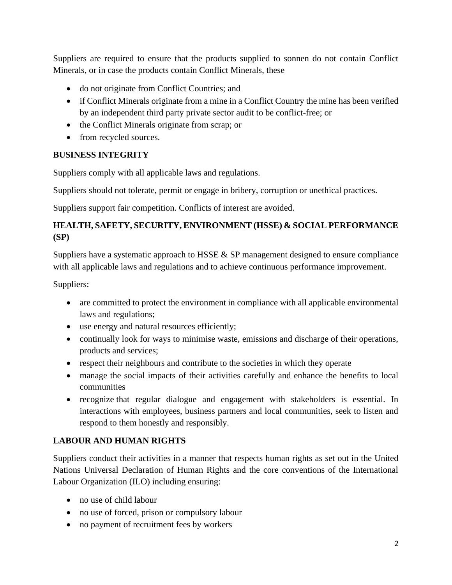Suppliers are required to ensure that the products supplied to sonnen do not contain Conflict Minerals, or in case the products contain Conflict Minerals, these

- do not originate from Conflict Countries; and
- if Conflict Minerals originate from a mine in a Conflict Country the mine has been verified by an independent third party private sector audit to be conflict-free; or
- the Conflict Minerals originate from scrap; or
- from recycled sources.

### **BUSINESS INTEGRITY**

Suppliers comply with all applicable laws and regulations.

Suppliers should not tolerate, permit or engage in bribery, corruption or unethical practices.

Suppliers support fair competition. Conflicts of interest are avoided.

## **HEALTH, SAFETY, SECURITY, ENVIRONMENT (HSSE) & SOCIAL PERFORMANCE (SP)**

Suppliers have a systematic approach to HSSE & SP management designed to ensure compliance with all applicable laws and regulations and to achieve continuous performance improvement.

Suppliers:

- are committed to protect the environment in compliance with all applicable environmental laws and regulations;
- use energy and natural resources efficiently;
- continually look for ways to minimise waste, emissions and discharge of their operations, products and services;
- respect their neighbours and contribute to the societies in which they operate
- manage the social impacts of their activities carefully and enhance the benefits to local communities
- recognize that regular dialogue and engagement with stakeholders is essential. In interactions with employees, business partners and local communities, seek to listen and respond to them honestly and responsibly.

## **LABOUR AND HUMAN RIGHTS**

Suppliers conduct their activities in a manner that respects human rights as set out in the United Nations Universal Declaration of Human Rights and the core conventions of the International Labour Organization (ILO) including ensuring:

- no use of child labour
- no use of forced, prison or compulsory labour
- no payment of recruitment fees by workers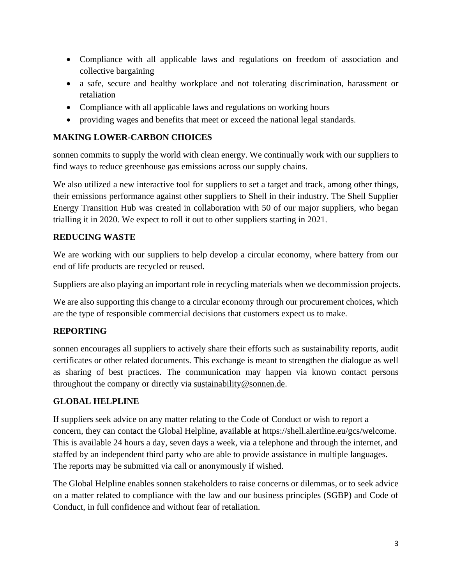- Compliance with all applicable laws and regulations on freedom of association and collective bargaining
- a safe, secure and healthy workplace and not tolerating discrimination, harassment or retaliation
- Compliance with all applicable laws and regulations on working hours
- providing wages and benefits that meet or exceed the national legal standards.

#### **MAKING LOWER-CARBON CHOICES**

sonnen commits to supply the world with clean energy. We continually work with our suppliers to find ways to reduce greenhouse gas emissions across our supply chains.

We also utilized a new interactive tool for suppliers to set a target and track, among other things, their emissions performance against other suppliers to Shell in their industry. The Shell Supplier Energy Transition Hub was created in collaboration with 50 of our major suppliers, who began trialling it in 2020. We expect to roll it out to other suppliers starting in 2021.

#### **REDUCING WASTE**

We are working with our suppliers to help develop a circular economy, where battery from our end of life products are recycled or reused.

Suppliers are also playing an important role in recycling materials when we decommission projects.

We are also supporting this change to a circular economy through our procurement choices, which are the type of responsible commercial decisions that customers expect us to make.

## **REPORTING**

sonnen encourages all suppliers to actively share their efforts such as sustainability reports, audit certificates or other related documents. This exchange is meant to strengthen the dialogue as well as sharing of best practices. The communication may happen via known contact persons throughout the company or directly via sustainability@sonnen.de.

#### **GLOBAL HELPLINE**

If suppliers seek advice on any matter relating to the Code of Conduct or wish to report a concern, they can contact the Global Helpline, available at [https://shell.alertline.eu/gcs/welcome.](https://shell.alertline.eu/gcs/welcome) This is available 24 hours a day, seven days a week, via a telephone and through the internet, and staffed by an independent third party who are able to provide assistance in multiple languages. The reports may be submitted via call or anonymously if wished.

The Global Helpline enables sonnen stakeholders to raise concerns or dilemmas, or to seek advice on a matter related to compliance with the law and our business principles (SGBP) and Code of Conduct, in full confidence and without fear of retaliation.